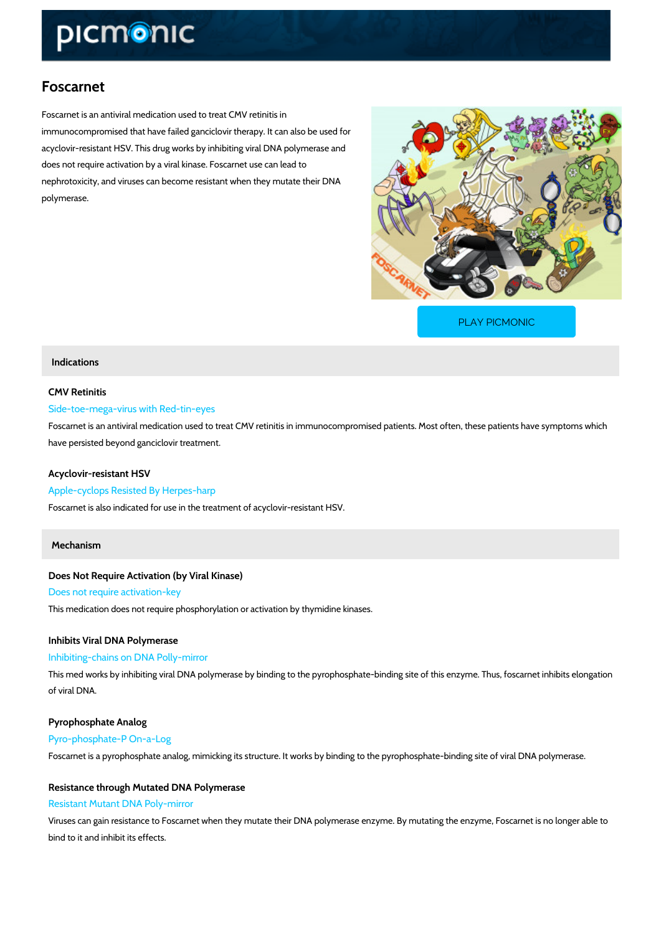# Foscarnet

Foscarnet is an antiviral medication used to treat CMV retinitis in immunocompromised that have failed ganciclovir therapy. It can also be used for acyclovir-resistant HSV. This drug works by inhibiting viral DNA polymerase and does not require activation by a viral kinase. Foscarnet use can lead to nephrotoxicity, and viruses can become resistant when they mutate their DNA polymerase.

[PLAY PICMONIC](https://www.picmonic.com/learn/foscarnet_1477?utm_source=downloadable_content&utm_medium=distributedcontent&utm_campaign=pathways_pdf&utm_content=Foscarnet&utm_ad_group=leads&utm_market=all)

# Indications

### CMV Retinitis

### Side-toe-mega-virus with Red-tin-eyes

Foscarnet is an antiviral medication used to treat CMV retinitis in immunocompromised patien have persisted beyond ganciclovir treatment.

### Acyclovir-resistant HSV

### Apple-cyclops Resisted By Herpes-harp

Foscarnet is also indicated for use in the treatment of acyclovir-resistant HSV.

### Mechanism

Does Not Require Activation (by Viral Kinase) Does not require activation-key This medication does not require phosphorylation or activation by thymidine kinases.

Inhibits Viral DNA Polymerase

Inhibiting-chains on DNA Polly-mirror

This med works by inhibiting viral DNA polymerase by binding to the pyrophosphate-binding si of viral DNA.

Pyrophosphate Analog Pyro-phosphate-P On-a-Log

Foscarnet is a pyrophosphate analog, mimicking its structure. It works by binding to the pyrophosphate analog, mimicking its structure.

Resistance through Mutated DNA Polymerase

### Resistant Mutant DNA Poly-mirror

Viruses can gain resistance to Foscarnet when they mutate their DNA polymerase enzyme. By bind to it and inhibit its effects.